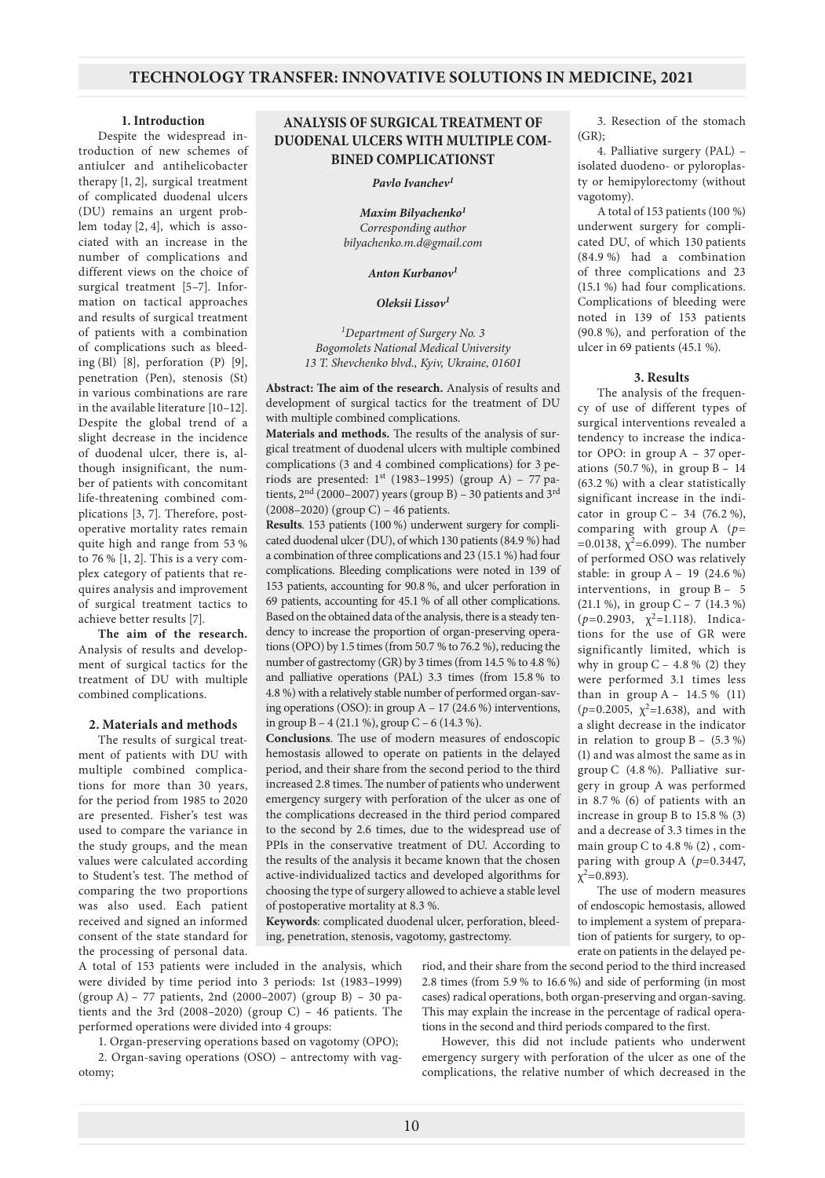#### **1. Introduction**

Despite the widespread introduction of new schemes of antiulcer and antihelicobacter therapy [1, 2], surgical treatment of complicated duodenal ulcers (DU) remains an urgent problem today [2, 4], which is associated with an increase in the number of complications and different views on the choice of surgical treatment [5–7]. Information on tactical approaches and results of surgical treatment of patients with a combination of complications such as bleeding (Bl) [8], perforation (P) [9], penetration (Pen), stenosis (St) in various combinations are rare in the available literature [10–12]. Despite the global trend of a slight decrease in the incidence of duodenal ulcer, there is, although insignificant, the number of patients with concomitant life-threatening combined complications [3, 7]. Therefore, postoperative mortality rates remain quite high and range from 53 % to 76 % [1, 2]. This is a very complex category of patients that requires analysis and improvement of surgical treatment tactics to achieve better results [7].

**The aim of the research.** Analysis of results and development of surgical tactics for the treatment of DU with multiple combined complications.

### **2. Materials and methods**

The results of surgical treatment of patients with DU with multiple combined complications for more than 30 years, for the period from 1985 to 2020 are presented. Fisher's test was used to compare the variance in the study groups, and the mean values were calculated according to Student's test. The method of comparing the two proportions was also used. Each patient received and signed an informed consent of the state standard for the processing of personal data.

## **ANALYSIS OF SURGICAL TREATMENT OF DUODENAL ULCERS WITH MULTIPLE COM-BINED COMPLICATIONST**

#### *Pavlo Ivanchev1*

*Maxim Bilyachenko1 Corresponding author bilyachenko.m.d@gmail.com*

#### *Anton Kurbanov1*

#### *Oleksii Lissov<sup>1</sup>*

*1 Department of Surgery No. 3 Bogomolets National Medical University 13 T. Shevchenko blvd., Kyiv, Ukraine, 01601*

**Abstract: The aim of the research.** Analysis of results and development of surgical tactics for the treatment of DU with multiple combined complications.

**Materials and methods.** The results of the analysis of surgical treatment of duodenal ulcers with multiple combined complications (3 and 4 combined complications) for 3 periods are presented:  $1<sup>st</sup>$  (1983–1995) (group A) – 77 patients,  $2<sup>nd</sup>$  (2000–2007) years (group B) – 30 patients and 3<sup>rd</sup> (2008–2020) (group C) – 46 patients.

**Results**. 153 patients (100 %) underwent surgery for complicated duodenal ulcer (DU), of which 130 patients (84.9 %) had a combination of three complications and 23 (15.1 %) had four complications. Bleeding complications were noted in 139 of 153 patients, accounting for 90.8 %, and ulcer perforation in 69 patients, accounting for 45.1 % of all other complications. Based on the obtained data of the analysis, there is a steady tendency to increase the proportion of organ-preserving operations (OPO) by 1.5 times (from 50.7 % to 76.2 %), reducing the number of gastrectomy (GR) by 3 times (from 14.5 % to 4.8 %) and palliative operations (PAL) 3.3 times (from 15.8 % to 4.8 %) with a relatively stable number of performed organ-saving operations (OSO): in group  $A - 17$  (24.6 %) interventions, in group  $B - 4$  (21.1 %), group  $C - 6$  (14.3 %).

**Conclusions**. The use of modern measures of endoscopic hemostasis allowed to operate on patients in the delayed period, and their share from the second period to the third increased 2.8 times. The number of patients who underwent emergency surgery with perforation of the ulcer as one of the complications decreased in the third period compared to the second by 2.6 times, due to the widespread use of PPIs in the conservative treatment of DU. According to the results of the analysis it became known that the chosen active-individualized tactics and developed algorithms for choosing the type of surgery allowed to achieve a stable level of postoperative mortality at 8.3 %.

**Keywords**: complicated duodenal ulcer, perforation, bleeding, penetration, stenosis, vagotomy, gastrectomy.

A total of 153 patients were included in the analysis, which were divided by time period into 3 periods: 1st (1983–1999) (group A) – 77 patients, 2nd (2000–2007) (group B) – 30 patients and the 3rd (2008–2020) (group C) – 46 patients. The performed operations were divided into 4 groups:

1. Organ-preserving operations based on vagotomy (OPO); 2. Organ-saving operations (OSO) – antrectomy with vagotomy;

3. Resection of the stomach  $(GR)$ ;

4. Palliative surgery (PAL) – isolated duodeno- or pyloroplasty or hemipylorectomy (without vagotomy).

A total of 153 patients (100 %) underwent surgery for complicated DU, of which 130 patients (84.9 %) had a combination of three complications and 23 (15.1 %) had four complications. Complications of bleeding were noted in 139 of 153 patients (90.8 %), and perforation of the ulcer in 69 patients (45.1 %).

#### **3. Results**

The analysis of the frequency of use of different types of surgical interventions revealed a tendency to increase the indicator OPO: in group A – 37 operations (50.7 %), in group B – 14 (63.2 %) with a clear statistically significant increase in the indicator in group  $C - 34$  (76.2 %), comparing with group A (*p*= =0.0138,  $\chi^2$ =6.099). The number of performed OSO was relatively stable: in group  $A - 19$  (24.6 %) interventions, in group B – 5 (21.1 %), in group C – 7 (14.3 %)  $(p=0.2903, \gamma^2=1.118)$ . Indications for the use of GR were significantly limited, which is why in group  $C - 4.8 %$  (2) they were performed 3.1 times less than in group  $A - 14.5 \%$  (11)  $(p=0.2005, \gamma^2=1.638)$ , and with a slight decrease in the indicator in relation to group  $B - (5.3 \%)$ (1) and was almost the same as in group C (4.8 %). Palliative surgery in group A was performed in 8.7 % (6) of patients with an increase in group B to 15.8 % (3) and a decrease of 3.3 times in the main group C to 4.8 % (2) , comparing with group A (*p*=0.3447,  $\chi^2$ =0.893).

The use of modern measures of endoscopic hemostasis, allowed to implement a system of preparation of patients for surgery, to operate on patients in the delayed pe-

riod, and their share from the second period to the third increased 2.8 times (from 5.9 % to 16.6 %) and side of performing (in most cases) radical operations, both organ-preserving and organ-saving. This may explain the increase in the percentage of radical operations in the second and third periods compared to the first.

However, this did not include patients who underwent emergency surgery with perforation of the ulcer as one of the complications, the relative number of which decreased in the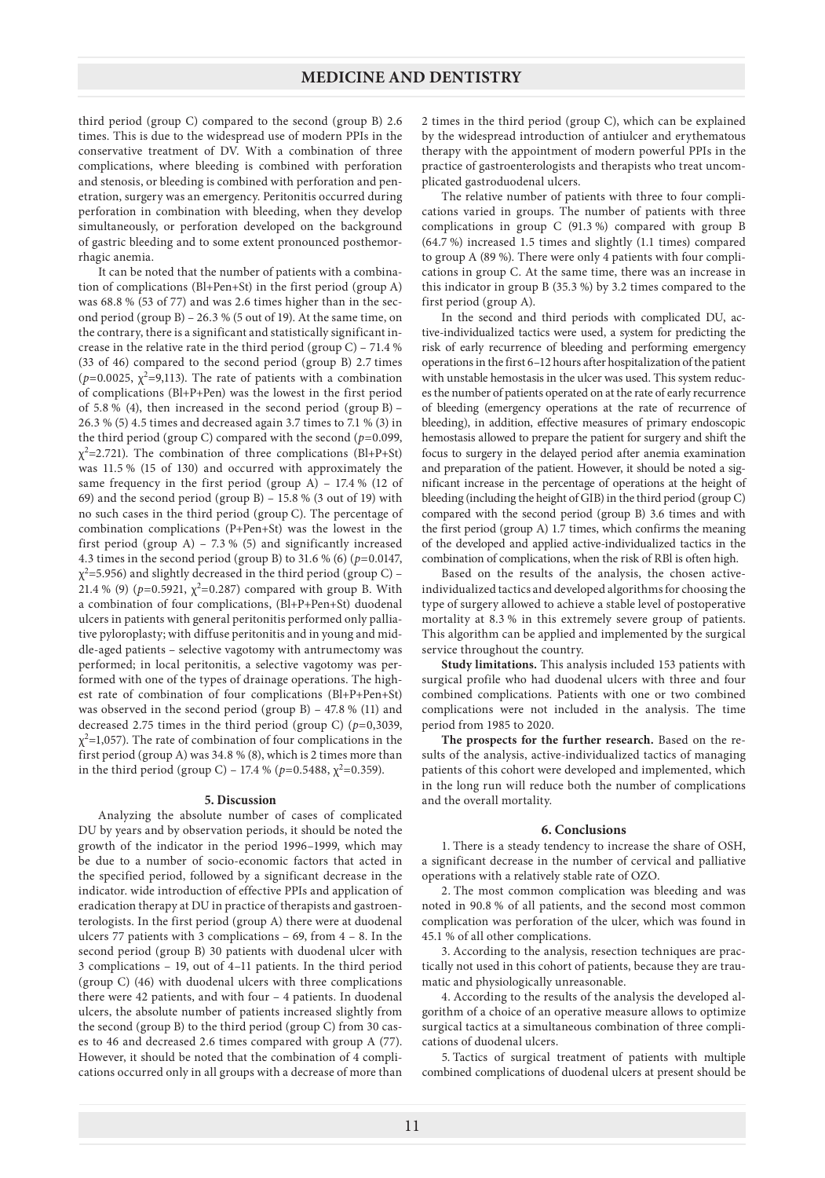third period (group C) compared to the second (group B) 2.6 times. This is due to the widespread use of modern PPIs in the conservative treatment of DV. With a combination of three complications, where bleeding is combined with perforation and stenosis, or bleeding is combined with perforation and penetration, surgery was an emergency. Peritonitis occurred during perforation in combination with bleeding, when they develop simultaneously, or perforation developed on the background of gastric bleeding and to some extent pronounced posthemorrhagic anemia.

It can be noted that the number of patients with a combination of complications (Bl+Pen+St) in the first period (group A) was 68.8 % (53 of 77) and was 2.6 times higher than in the second period (group B) – 26.3 % (5 out of 19). At the same time, on the contrary, there is a significant and statistically significant increase in the relative rate in the third period (group C) – 71.4 % (33 of 46) compared to the second period (group B) 2.7 times ( $p=0.0025$ ,  $\chi^2=9,113$ ). The rate of patients with a combination of complications (Bl+P+Pen) was the lowest in the first period of 5.8 % (4), then increased in the second period (group B) – 26.3 % (5) 4.5 times and decreased again 3.7 times to 7.1 % (3) in the third period (group C) compared with the second (*p*=0.099,  $\chi^2$ =2.721). The combination of three complications (Bl+P+St) was 11.5 % (15 of 130) and occurred with approximately the same frequency in the first period (group A) – 17.4 % (12 of 69) and the second period (group B) – 15.8 % (3 out of 19) with no such cases in the third period (group C). The percentage of combination complications (P+Pen+St) was the lowest in the first period (group A) – 7.3 % (5) and significantly increased 4.3 times in the second period (group B) to 31.6 % (6) (*p*=0.0147,  $\chi^2$ =5.956) and slightly decreased in the third period (group C) – 21.4 % (9) ( $p=0.5921$ ,  $\chi^2=0.287$ ) compared with group B. With a combination of four complications, (Bl+P+Pen+St) duodenal ulcers in patients with general peritonitis performed only palliative pyloroplasty; with diffuse peritonitis and in young and middle-aged patients – selective vagotomy with antrumectomy was performed; in local peritonitis, a selective vagotomy was performed with one of the types of drainage operations. The highest rate of combination of four complications (Bl+P+Pen+St) was observed in the second period (group B) – 47.8 % (11) and decreased 2.75 times in the third period (group C) (*p*=0,3039,  $\chi^2$ =1,057). The rate of combination of four complications in the first period (group A) was 34.8 % (8), which is 2 times more than in the third period (group C) – 17.4 % ( $p=0.5488$ ,  $\chi^2=0.359$ ).

#### **5. Discussion**

Analyzing the absolute number of cases of complicated DU by years and by observation periods, it should be noted the growth of the indicator in the period 1996–1999, which may be due to a number of socio-economic factors that acted in the specified period, followed by a significant decrease in the indicator. wide introduction of effective PPIs and application of eradication therapy at DU in practice of therapists and gastroenterologists. In the first period (group A) there were at duodenal ulcers 77 patients with 3 complications – 69, from 4 – 8. In the second period (group B) 30 patients with duodenal ulcer with 3 complications – 19, out of 4–11 patients. In the third period (group C) (46) with duodenal ulcers with three complications there were 42 patients, and with four – 4 patients. In duodenal ulcers, the absolute number of patients increased slightly from the second (group B) to the third period (group C) from 30 cases to 46 and decreased 2.6 times compared with group A (77). However, it should be noted that the combination of 4 complications occurred only in all groups with a decrease of more than 2 times in the third period (group C), which can be explained by the widespread introduction of antiulcer and erythematous therapy with the appointment of modern powerful PPIs in the practice of gastroenterologists and therapists who treat uncomplicated gastroduodenal ulcers.

The relative number of patients with three to four complications varied in groups. The number of patients with three complications in group C (91.3 %) compared with group B (64.7 %) increased 1.5 times and slightly (1.1 times) compared to group A (89 %). There were only 4 patients with four complications in group C. At the same time, there was an increase in this indicator in group B (35.3 %) by 3.2 times compared to the first period (group A).

In the second and third periods with complicated DU, active-individualized tactics were used, a system for predicting the risk of early recurrence of bleeding and performing emergency operations in the first 6–12 hours after hospitalization of the patient with unstable hemostasis in the ulcer was used. This system reduces the number of patients operated on at the rate of early recurrence of bleeding (emergency operations at the rate of recurrence of bleeding), in addition, effective measures of primary endoscopic hemostasis allowed to prepare the patient for surgery and shift the focus to surgery in the delayed period after anemia examination and preparation of the patient. However, it should be noted a significant increase in the percentage of operations at the height of bleeding (including the height of GIB) in the third period (group C) compared with the second period (group B) 3.6 times and with the first period (group A) 1.7 times, which confirms the meaning of the developed and applied active-individualized tactics in the combination of complications, when the risk of RBl is often high.

Based on the results of the analysis, the chosen activeindividualized tactics and developed algorithms for choosing the type of surgery allowed to achieve a stable level of postoperative mortality at 8.3 % in this extremely severe group of patients. This algorithm can be applied and implemented by the surgical service throughout the country.

**Study limitations.** This analysis included 153 patients with surgical profile who had duodenal ulcers with three and four combined complications. Patients with one or two combined complications were not included in the analysis. The time period from 1985 to 2020.

**The prospects for the further research.** Based on the results of the analysis, active-individualized tactics of managing patients of this cohort were developed and implemented, which in the long run will reduce both the number of complications and the overall mortality.

#### **6. Conclusions**

1. There is a steady tendency to increase the share of OSH, a significant decrease in the number of cervical and palliative operations with a relatively stable rate of OZO.

2. The most common complication was bleeding and was noted in 90.8 % of all patients, and the second most common complication was perforation of the ulcer, which was found in 45.1 % of all other complications.

3. According to the analysis, resection techniques are practically not used in this cohort of patients, because they are traumatic and physiologically unreasonable.

4. According to the results of the analysis the developed algorithm of a choice of an operative measure allows to optimize surgical tactics at a simultaneous combination of three complications of duodenal ulcers.

5. Tactics of surgical treatment of patients with multiple combined complications of duodenal ulcers at present should be